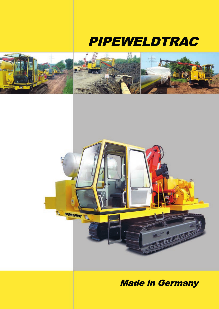





### **Made in Germany**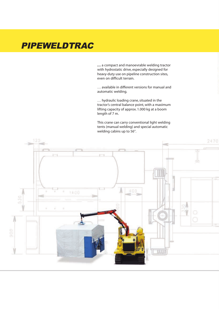### PIPEWELDTRAC

*…* a compact and manoevrable welding tractor with hydrostatic drive, especially designed for heavy-duty use on pipeline construction sites, even on difficult terrain.

… available in different versions for manual and automatic welding.

… hydraulic loading crane, situated in the tractor's central balance point, with a maximum lifting capacity of approx. 1.000 kg at a boom length of 7 m.

This crane can carry conventional light welding tents (manual welding) and special automatic welding cabins up to 56".

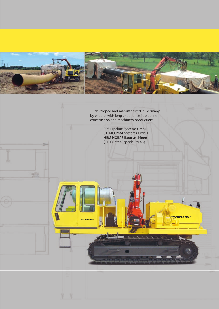

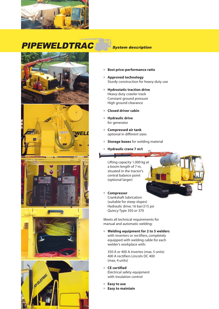

### PIPEWELDTRAC System description



- � **Best price-performance ratio**
- � **Approved technology** Sturdy construction for heavy-duty use
- � **Hydrostatic traction drive** Heavy-duty crawler track Constant ground pressure High ground clearance
- � **Closed driver cabin**
- � **Hydraulic drive** for generator
- � **Compressed air tank** optional in different sizes
- **Storage boxes** for welding material
- � **Hydraulic crane 7 m/t**

Lifting capacity 1.000 kg at a boom length of 7 m, situated in the tractor's central balance point (optional larger)

� **Compressor** Crankshaft lubrication (suitable for steep slopes) Hydraulic drive, 16 bar/215 psi Quincy Type 350 or 370

Meets all technical requirements for manual and automatic welding:

� **Welding equipment for 2 to 5 welders** with inverters or rectifiers, completely equipped with welding cable for each welder's workplace with:

350 A or 400 A invertes (max. 5 units) 400 A rectifiers Lincoln DC 400 (max. 4 units)

- � **CE certified** Electrical safety equipment with insulation control
- **Easy to use**
- � **Easy to maintain**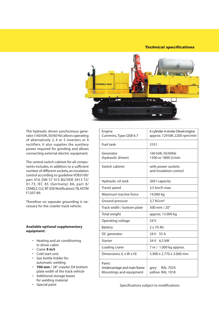#### Technical specifications



The hydraulic driven synchronous generator(160 kVA, 50/60 Hz) allows operating of alternatively 2, 4 or 5 inverters or 4 rectifiers. It also supplies the auxiliary power required for grinding and allows connecting external electric equipment.

The central switch cabinet for all components includes, in addition to a sufficient number of different sockets, an insulation control according to guideline VDE0100/ part 410, DIN 57 413 BI2/VDE 0413 T2/ 01.73, IEC 85 (Germany) 8A, part 8/ CENELC CLC BT (DE/Notification) 78, ASTM F1207-89.

Therefore no separate grounding is necessary for the crawler track vehicle.

### **Available optional supplementary equipment:**

- Heating and air conditioning in driver cabin
- Crane **9 m/t**
- Cold start unit
- Gas bottle holder for automatic welding
- **700 mm** / 28" crawler D4 bottom plate width of the track vehicle
- Additional storage boxes for welding material
- Special paint

| Engine<br>Cummins, Type: QSB 6.7                                  | 6 cylinder 4-stroke Diesel engine<br>approx. 129 kW, 2200 rpm/min |  |
|-------------------------------------------------------------------|-------------------------------------------------------------------|--|
| Fuel tank                                                         | 310                                                               |  |
| Generator<br>(hydraulic driven)                                   | 160 kVA, 50/60Hz<br>1500 or 1800 U/min                            |  |
| Switch cabinet                                                    | with power sockets<br>and insulation control                      |  |
| Hydraulic oil tank                                                | 200   capacity                                                    |  |
| Travel speed                                                      | 3,5 km/h max.                                                     |  |
| Maximum tractive force                                            | 14.000 kg                                                         |  |
| Ground pressure                                                   | 3,7 N/cm <sup>2</sup>                                             |  |
| Track width / bottom plate                                        | 500 mm / 20"                                                      |  |
| Total weight                                                      | approx. 13.000 kg                                                 |  |
| Operating voltage                                                 | 24 V                                                              |  |
| <b>Battery</b>                                                    | $2 \times 70$ Ah                                                  |  |
| DC generator                                                      | 24 V 55 A                                                         |  |
| Starter                                                           | 24 V 6,5 kW                                                       |  |
| Loading crane                                                     | 7 m / 1.000 kg approx.                                            |  |
| Dimensions (L x W x H)                                            | 5.900 x 2.770 x 3.000 mm                                          |  |
| Paint:<br>Undercarriage and main frame<br>Mountings and equipment | <b>RAL 7024</b><br>grey<br>yellow RAL 1018                        |  |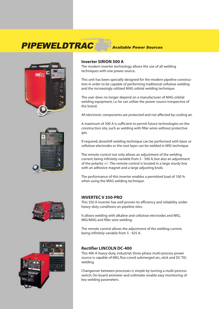## PIPEWELDTRAC Available Power Sources









### **Inverter SIRION 500 A**

The modern inverter technology allows the use of all welding techniques with one power source.

This unit has been specially designed for the modern pipeline construction in order to be capable of performing traditional cellulose welding and the increasingly utilized MAG orbital welding technique.

The user does no longer depend on a manufacturer of MAG orbital welding equipment, i.e. he can utilize the power source irrespective of the brand.

All electronic components are protected and not affected by cooling air.

A maximum of 500 A is sufficient to permit future technologies on the construction site, such as welding with filler wires without protective gas.

If required, downhill welding technique can be performed with basic or cellulose electrodes or the root layer can be welded in WIG technique.

The remote control not only allows an adjustment of the welding current, being infinitely variable from 5 - 500 A, but also an adjustment of the polarity +/-. The remote control is located in a large sturdy box with an adhesive magnet and a large adjusting knob.

The performance of this inverter enables a permitted load of 100 % when using the MAG welding technique.

#### **INVERTEC V 350-PRO**

This 350 A inverter has well proven its efficiency and reliability under heavy-duty conditions on pipeline sites.

It allows welding with alkaline and cellulose electrodes and WIG, MIG/MAG and filler wire welding.

The remote control allows the adjustment of the welding current, being infinitely variable from 5 - 425 A.

#### **Rectifier LINCOLN DC-400**

This 400 A heavy-duty, industrial, three-phase multi-process power source is capable of MIG, flux-cored submerged arc, stick and DC TIG welding.

Changeover between processes is simple by turning a multi-process switch. On-board ammeter and voltmeter enable easy monitoring of key welding parameters.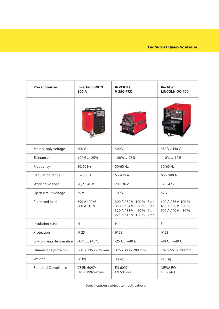### Technical Specifications

| <b>Power Sources</b>       | <b>Inverter SIRION</b><br>500 A | <b>INVERTEC</b><br><b>V350-PRO</b>                                                                         | <b>Rectifier</b><br><b>LINCOLN DC-400</b>                    |
|----------------------------|---------------------------------|------------------------------------------------------------------------------------------------------------|--------------------------------------------------------------|
|                            |                                 |                                                                                                            |                                                              |
| Main supply voltage        | 400V                            | 400V                                                                                                       | 380 V / 440 V                                                |
| Tolerance                  | $+20\%$ -25%                    | $+20\%$ -25%                                                                                               | $+10\%$ -10%                                                 |
| Frequency                  | 50/60 Hz                        | 50/60 Hz                                                                                                   | 50/60 Hz                                                     |
| Regulating range           | $5 - 500$ A                     | $5 - 425$ A                                                                                                | $60 - 500$ A                                                 |
| Working voltage            | $20,2 - 40V$                    | $20 - 36 V$                                                                                                | $12 - 42V$                                                   |
| Open circuit voltage       | 79 V                            | 109 <sub>V</sub>                                                                                           | 57V                                                          |
| Permitted load             | 390 A 100 %<br>500 A 40 %       | 300 A / 32 V 100 % -3 ph<br>350 A / 34 V 60 % -3 ph<br>320 A / 33 V 60 % -1 ph<br>275 A / 13 V 100 % -1 ph | 400 A / 36 V 100 %<br>450 A / 38 V 60 %<br>500 A / 40 V 50 % |
| Insulation class           | H                               | H                                                                                                          | F                                                            |
| Protection                 | <b>IP 23</b>                    | <b>IP 23</b>                                                                                               | <b>IP 23</b>                                                 |
| Environmental temperature  | $-10^{\circ}$ C $+40^{\circ}$ C | $-25^{\circ}$ C $+40^{\circ}$ C                                                                            | $-40^{\circ}$ C $+40^{\circ}$ C                              |
| Dimensions (H x W x L)     | 560 x 335 x 625 mm              | 376 x 338 x 709 mm                                                                                         | 782 x 561 x 700 mm                                           |
| Weight                     | 58 kg                           | 38 kg                                                                                                      | 215 kg                                                       |
| <b>Standard Compliance</b> | CE EN 60974<br>EN 50199/S-mark  | EN 60974<br>EN 50199 CE                                                                                    | NEWA EW 1<br>IEC 974-1                                       |